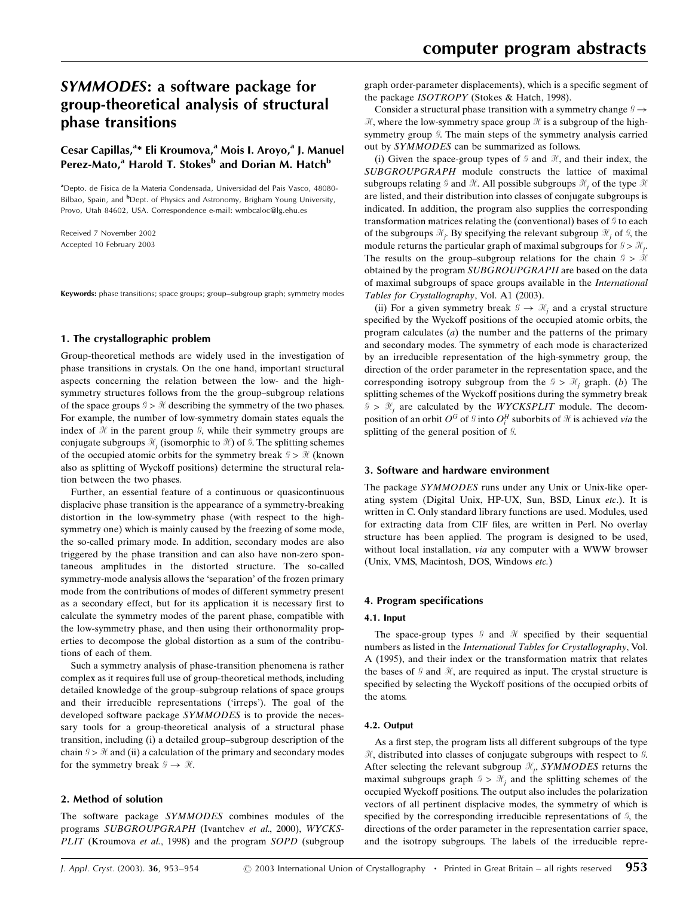# SYMMODES: a software package for group-theoretical analysis of structural phase transitions

## Cesar Capillas,<sup>a\*</sup> Eli Kroumova,<sup>a</sup> Mois I. Aroyo,<sup>a</sup> J. Manuel Perez-Mato,<sup>a</sup> Harold T. Stokes<sup>b</sup> and Dorian M. Hatch<sup>b</sup>

a Depto. de Fisica de la Materia Condensada, Universidad del Pais Vasco, 48080- Bilbao, Spain, and <sup>b</sup>Dept. of Physics and Astronomy, Brigham Young University, Provo, Utah 84602, USA. Correspondence e-mail: wmbcaloc@lg.ehu.es

Received 7 November 2002 Accepted 10 February 2003

Keywords: phase transitions; space groups; group-subgroup graph; symmetry modes

#### 1. The crystallographic problem

Group-theoretical methods are widely used in the investigation of phase transitions in crystals. On the one hand, important structural aspects concerning the relation between the low- and the highsymmetry structures follows from the the group-subgroup relations of the space groups  $\mathcal{G} > \mathcal{H}$  describing the symmetry of the two phases. For example, the number of low-symmetry domain states equals the index of  $\mathcal H$  in the parent group  $\mathcal G$ , while their symmetry groups are conjugate subgroups  $\mathcal{H}_i$  (isomorphic to  $\mathcal{H}_i$ ) of  $\mathcal{G}_i$ . The splitting schemes of the occupied atomic orbits for the symmetry break  $\mathcal{G} > \mathcal{H}$  (known also as splitting of Wyckoff positions) determine the structural relation between the two phases.

Further, an essential feature of a continuous or quasicontinuous displacive phase transition is the appearance of a symmetry-breaking distortion in the low-symmetry phase (with respect to the highsymmetry one) which is mainly caused by the freezing of some mode, the so-called primary mode. In addition, secondary modes are also triggered by the phase transition and can also have non-zero spontaneous amplitudes in the distorted structure. The so-called symmetry-mode analysis allows the `separation' of the frozen primary mode from the contributions of modes of different symmetry present as a secondary effect, but for its application it is necessary first to calculate the symmetry modes of the parent phase, compatible with the low-symmetry phase, and then using their orthonormality properties to decompose the global distortion as a sum of the contributions of each of them.

Such a symmetry analysis of phase-transition phenomena is rather complex as it requires full use of group-theoretical methods, including detailed knowledge of the group-subgroup relations of space groups and their irreducible representations ('irreps'). The goal of the developed software package SYMMODES is to provide the necessary tools for a group-theoretical analysis of a structural phase transition, including (i) a detailed group-subgroup description of the chain  $\mathcal{G} > \mathcal{H}$  and (ii) a calculation of the primary and secondary modes for the symmetry break  $\mathcal{G} \rightarrow \mathcal{H}$ .

#### 2. Method of solution

The software package SYMMODES combines modules of the programs SUBGROUPGRAPH (Ivantchev et al., 2000), WYCKS-PLIT (Kroumova et al., 1998) and the program SOPD (subgroup graph order-parameter displacements), which is a specific segment of the package ISOTROPY (Stokes & Hatch, 1998).

Consider a structural phase transition with a symmetry change  $\mathcal{G} \rightarrow$  $\mathcal{H}$ , where the low-symmetry space group  $\mathcal{H}$  is a subgroup of the highsymmetry group  $\mathcal G$ . The main steps of the symmetry analysis carried out by SYMMODES can be summarized as follows.

(i) Given the space-group types of  $\mathcal G$  and  $\mathcal H$ , and their index, the SUBGROUPGRAPH module constructs the lattice of maximal subgroups relating  $\mathcal G$  and  $\mathcal H$ . All possible subgroups  $\mathcal H_i$  of the type  $\mathcal H$ are listed, and their distribution into classes of conjugate subgroups is indicated. In addition, the program also supplies the corresponding transformation matrices relating the (conventional) bases of  $\mathcal G$  to each of the subgroups  $\mathcal{H}_j$ . By specifying the relevant subgroup  $\mathcal{H}_j$  of  $\mathcal{G}_j$ , the module returns the particular graph of maximal subgroups for  $S > \mathcal{H}_i$ . The results on the group-subgroup relations for the chain  $\mathcal{G} > \mathcal{H}$ obtained by the program SUBGROUPGRAPH are based on the data of maximal subgroups of space groups available in the International Tables for Crystallography, Vol. A1 (2003).

(ii) For a given symmetry break  $\mathcal{G} \to \mathcal{H}$ , and a crystal structure specified by the Wyckoff positions of the occupied atomic orbits, the program calculates  $(a)$  the number and the patterns of the primary and secondary modes. The symmetry of each mode is characterized by an irreducible representation of the high-symmetry group, the direction of the order parameter in the representation space, and the corresponding isotropy subgroup from the  $\mathcal{G} > \mathcal{H}$  graph. (b) The splitting schemes of the Wyckoff positions during the symmetry break  $\mathcal{G} > \mathcal{H}_i$  are calculated by the WYCKSPLIT module. The decomposition of an orbit  $O^G$  of  $\mathcal G$  into  $O_i^H$  suborbits of  $\mathcal H$  is achieved via the splitting of the general position of  $\mathcal G$ .

#### 3. Software and hardware environment

The package *SYMMODES* runs under any Unix or Unix-like operating system (Digital Unix, HP-UX, Sun, BSD, Linux etc.). It is written in C. Only standard library functions are used. Modules, used for extracting data from CIF files, are written in Perl. No overlay structure has been applied. The program is designed to be used, without local installation, *via* any computer with a WWW browser (Unix, VMS, Macintosh, DOS, Windows etc.)

#### 4. Program specifications

#### 4.1. Input

The space-group types  $\mathcal G$  and  $\mathcal H$  specified by their sequential numbers as listed in the International Tables for Crystallography, Vol. A (1995), and their index or the transformation matrix that relates the bases of  $\mathcal G$  and  $\mathcal H$ , are required as input. The crystal structure is specified by selecting the Wyckoff positions of the occupied orbits of the atoms.

#### 4.2. Output

As a first step, the program lists all different subgroups of the type  $H$ , distributed into classes of conjugate subgroups with respect to  $G$ . After selecting the relevant subgroup  $\mathcal{H}_j$ , SYMMODES returns the maximal subgroups graph  $\mathcal{G} > \mathcal{H}$  and the splitting schemes of the occupied Wyckoff positions. The output also includes the polarization vectors of all pertinent displacive modes, the symmetry of which is specified by the corresponding irreducible representations of  $\mathcal{G}$ , the directions of the order parameter in the representation carrier space, and the isotropy subgroups. The labels of the irreducible repre